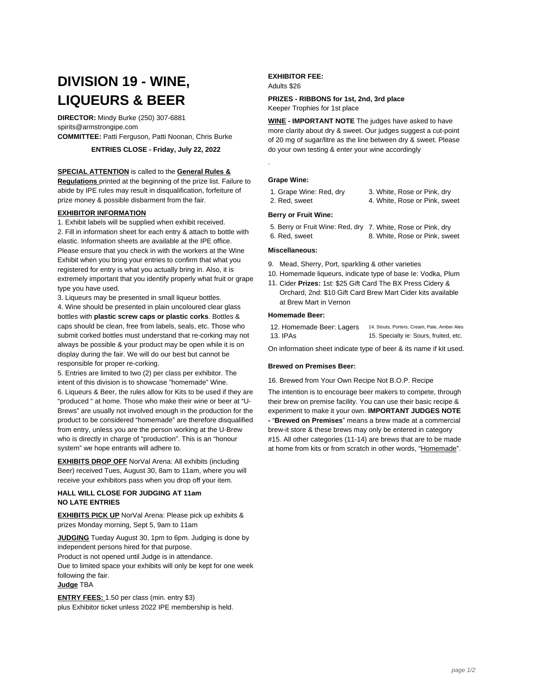# **DIVISION 19 - WINE, LIQUEURS & BEER**

**DIRECTOR:** Mindy Burke (250) 307-6881 spirits@armstrongipe.com **COMMITTEE:** Patti Ferguson, Patti Noonan, Chris Burke

**ENTRIES CLOSE - Friday, July 22, 2022**

#### **SPECIAL ATTENTION** is called to the **General Rules &**

**Regulations** printed at the beginning of the prize list. Failure to abide by IPE rules may result in disqualification, forfeiture of prize money & possible disbarment from the fair.

#### **EXHIBITOR INFORMATION**

1. Exhibit labels will be supplied when exhibit received. 2. Fill in information sheet for each entry & attach to bottle with elastic. Information sheets are available at the IPE office. Please ensure that you check in with the workers at the Wine Exhibit when you bring your entries to confirm that what you registered for entry is what you actually bring in. Also, it is extremely important that you identify properly what fruit or grape type you have used.

3. Liqueurs may be presented in small liqueur bottles.

4. Wine should be presented in plain uncoloured clear glass bottles with **plastic screw caps or plastic corks**. Bottles & caps should be clean, free from labels, seals, etc. Those who submit corked bottles must understand that re-corking may not always be possible & your product may be open while it is on display during the fair. We will do our best but cannot be responsible for proper re-corking.

5. Entries are limited to two (2) per class per exhibitor. The intent of this division is to showcase "homemade" Wine. 6. Liqueurs & Beer, the rules allow for Kits to be used if they are "produced " at home. Those who make their wine or beer at "U-Brews" are usually not involved enough in the production for the product to be considered "homemade" are therefore disqualified from entry, unless you are the person working at the U-Brew who is directly in charge of "production". This is an "honour system" we hope entrants will adhere to.

**EXHIBITS DROP OFF** NorVal Arena: All exhibits (including Beer) received Tues, August 30, 8am to 11am, where you will receive your exhibitors pass when you drop off your item.

## **HALL WILL CLOSE FOR JUDGING AT 11am NO LATE ENTRIES**

**EXHIBITS PICK UP** NorVal Arena: Please pick up exhibits & prizes Monday morning, Sept 5, 9am to 11am

**JUDGING** Tueday August 30, 1pm to 6pm. Judging is done by independent persons hired for that purpose.

Product is not opened until Judge is in attendance.

Due to limited space your exhibits will only be kept for one week following the fair.

# **Judge** TBA

**ENTRY FEES:** 1.50 per class (min. entry \$3) plus Exhibitor ticket unless 2022 IPE membership is held.

#### **EXHIBITOR FEE:** Adults \$26

#### **PRIZES - RIBBONS for 1st, 2nd, 3rd place** Keeper Trophies for 1st place

**WINE - IMPORTANT NOTE** The judges have asked to have more clarity about dry & sweet. Our judges suggest a cut-point of 20 mg of sugar/litre as the line between dry & sweet. Please do your own testing & enter your wine accordingly

#### **Grape Wine:**

.

1. Grape Wine: Red, dry 3. White, Rose or Pink, dry 2. Red, sweet 4. White, Rose or Pink, sweet

#### **Berry or Fruit Wine:**

5. Berry or Fruit Wine: Red, dry 7. White, Rose or Pink, dry 6. Red, sweet 8. White, Rose or Pink, sweet

#### **Miscellaneous:**

- 9. Mead, Sherry, Port, sparkling & other varieties
- 10. Homemade liqueurs, indicate type of base Ie: Vodka, Plum
- 11. Cider **Prizes:** 1st: \$25 Gift Card The BX Press Cidery & Orchard, 2nd: \$10 Gift Card Brew Mart Cider kits available at Brew Mart in Vernon

### **Homemade Beer:**

12. Homemade Beer: Lagers 14. Stouts, Porters, Cream, Pale, Amber Ales 13. IPAs 15. Specialty ie: Sours, fruited, etc.

On information sheet indicate type of beer & its name if kit used.

#### **Brewed on Premises Beer:**

16. Brewed from Your Own Recipe Not B.O.P. Recipe

The intention is to encourage beer makers to compete, through their brew on premise facility. You can use their basic recipe & experiment to make it your own. **IMPORTANT JUDGES NOTE -** "**Brewed on Premises**" means a brew made at a commercial brew-it store & these brews may only be entered in category #15. All other categories (11-14) are brews that are to be made at home from kits or from scratch in other words, "Homemade".